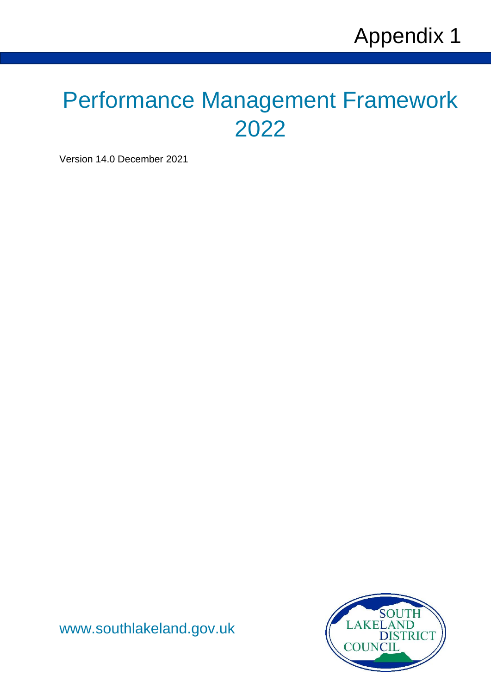# <span id="page-0-0"></span>Performance Management Framework 2022

Version 14.0 December 2021



[www.southlakeland.gov.uk](http://www.southlakeland.gov.uk/)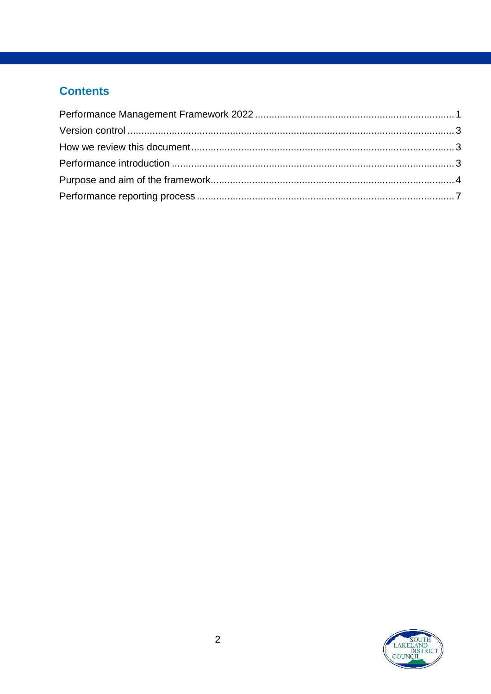# **Contents**

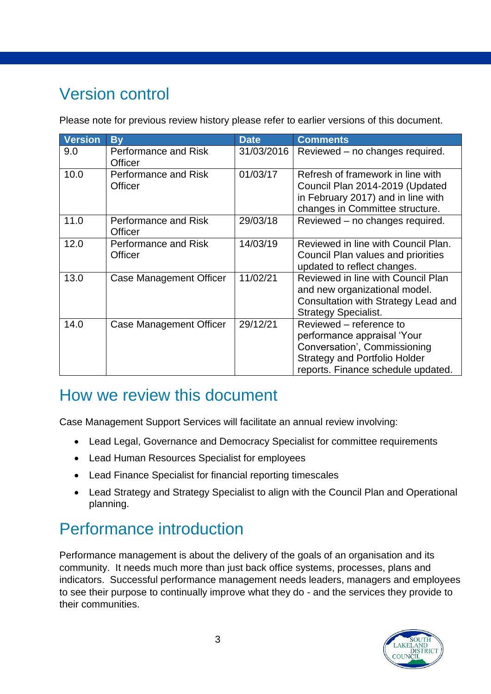# <span id="page-2-0"></span>Version control

Please note for previous review history please refer to earlier versions of this document.

| <b>Version</b> | <b>By</b>                              | <b>Date</b> | <b>Comments</b>                                                                                                                                                      |
|----------------|----------------------------------------|-------------|----------------------------------------------------------------------------------------------------------------------------------------------------------------------|
| 9.0            | Performance and Risk<br><b>Officer</b> | 31/03/2016  | Reviewed - no changes required.                                                                                                                                      |
| 10.0           | Performance and Risk<br>Officer        | 01/03/17    | Refresh of framework in line with<br>Council Plan 2014-2019 (Updated<br>in February 2017) and in line with<br>changes in Committee structure.                        |
| 11.0           | Performance and Risk<br>Officer        | 29/03/18    | Reviewed - no changes required.                                                                                                                                      |
| 12.0           | Performance and Risk<br>Officer        | 14/03/19    | Reviewed in line with Council Plan.<br>Council Plan values and priorities<br>updated to reflect changes.                                                             |
| 13.0           | Case Management Officer                | 11/02/21    | Reviewed in line with Council Plan<br>and new organizational model.<br>Consultation with Strategy Lead and<br><b>Strategy Specialist.</b>                            |
| 14.0           | <b>Case Management Officer</b>         | 29/12/21    | Reviewed – reference to<br>performance appraisal 'Your<br>Conversation', Commissioning<br><b>Strategy and Portfolio Holder</b><br>reports. Finance schedule updated. |

# <span id="page-2-1"></span>How we review this document

Case Management Support Services will facilitate an annual review involving:

- Lead Legal, Governance and Democracy Specialist for committee requirements
- Lead Human Resources Specialist for employees
- Lead Finance Specialist for financial reporting timescales
- Lead Strategy and Strategy Specialist to align with the Council Plan and Operational planning.

# <span id="page-2-2"></span>Performance introduction

Performance management is about the delivery of the goals of an organisation and its community. It needs much more than just back office systems, processes, plans and indicators. Successful performance management needs leaders, managers and employees to see their purpose to continually improve what they do - and the services they provide to their communities.

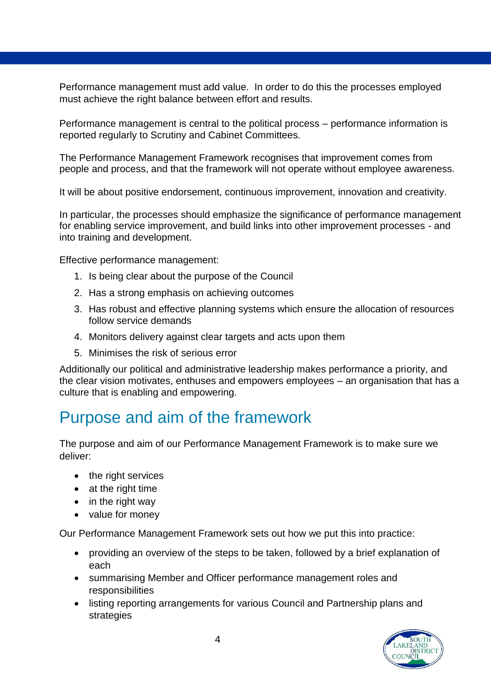Performance management must add value. In order to do this the processes employed must achieve the right balance between effort and results.

Performance management is central to the political process – performance information is reported regularly to Scrutiny and Cabinet Committees.

The Performance Management Framework recognises that improvement comes from people and process, and that the framework will not operate without employee awareness.

It will be about positive endorsement, continuous improvement, innovation and creativity.

In particular, the processes should emphasize the significance of performance management for enabling service improvement, and build links into other improvement processes - and into training and development.

Effective performance management:

- 1. Is being clear about the purpose of the Council
- 2. Has a strong emphasis on achieving outcomes
- 3. Has robust and effective planning systems which ensure the allocation of resources follow service demands
- 4. Monitors delivery against clear targets and acts upon them
- 5. Minimises the risk of serious error

Additionally our political and administrative leadership makes performance a priority, and the clear vision motivates, enthuses and empowers employees – an organisation that has a culture that is enabling and empowering.

# <span id="page-3-0"></span>Purpose and aim of the framework

The purpose and aim of our Performance Management Framework is to make sure we deliver:

- the right services
- $\bullet$  at the right time
- in the right way
- value for money

Our Performance Management Framework sets out how we put this into practice:

- providing an overview of the steps to be taken, followed by a brief explanation of each
- summarising Member and Officer performance management roles and responsibilities
- listing reporting arrangements for various Council and Partnership plans and strategies

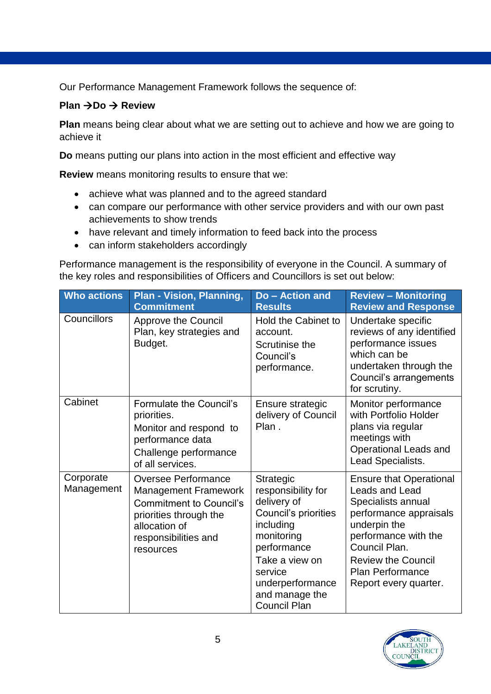Our Performance Management Framework follows the sequence of:

#### **Plan →Do → Review**

**Plan** means being clear about what we are setting out to achieve and how we are going to achieve it

**Do** means putting our plans into action in the most efficient and effective way

**Review** means monitoring results to ensure that we:

- achieve what was planned and to the agreed standard
- can compare our performance with other service providers and with our own past achievements to show trends
- have relevant and timely information to feed back into the process
- can inform stakeholders accordingly

Performance management is the responsibility of everyone in the Council. A summary of the key roles and responsibilities of Officers and Councillors is set out below:

| <b>Who actions</b>      | Plan - Vision, Planning,<br><b>Commitment</b>                                                                                                                        | Do - Action and<br><b>Results</b>                                                                                                                                                                          | <b>Review - Monitoring</b><br><b>Review and Response</b>                                                                                                                                                                                   |
|-------------------------|----------------------------------------------------------------------------------------------------------------------------------------------------------------------|------------------------------------------------------------------------------------------------------------------------------------------------------------------------------------------------------------|--------------------------------------------------------------------------------------------------------------------------------------------------------------------------------------------------------------------------------------------|
| Councillors             | <b>Approve the Council</b><br>Plan, key strategies and<br>Budget.                                                                                                    | Hold the Cabinet to<br>account.<br>Scrutinise the<br>Council's<br>performance.                                                                                                                             | Undertake specific<br>reviews of any identified<br>performance issues<br>which can be<br>undertaken through the<br>Council's arrangements<br>for scrutiny.                                                                                 |
| Cabinet                 | Formulate the Council's<br>priorities.<br>Monitor and respond to<br>performance data<br>Challenge performance<br>of all services.                                    | Ensure strategic<br>delivery of Council<br>Plan.                                                                                                                                                           | Monitor performance<br>with Portfolio Holder<br>plans via regular<br>meetings with<br>Operational Leads and<br>Lead Specialists.                                                                                                           |
| Corporate<br>Management | Oversee Performance<br><b>Management Framework</b><br><b>Commitment to Council's</b><br>priorities through the<br>allocation of<br>responsibilities and<br>resources | Strategic<br>responsibility for<br>delivery of<br>Council's priorities<br>including<br>monitoring<br>performance<br>Take a view on<br>service<br>underperformance<br>and manage the<br><b>Council Plan</b> | <b>Ensure that Operational</b><br>Leads and Lead<br>Specialists annual<br>performance appraisals<br>underpin the<br>performance with the<br>Council Plan.<br><b>Review the Council</b><br><b>Plan Performance</b><br>Report every quarter. |

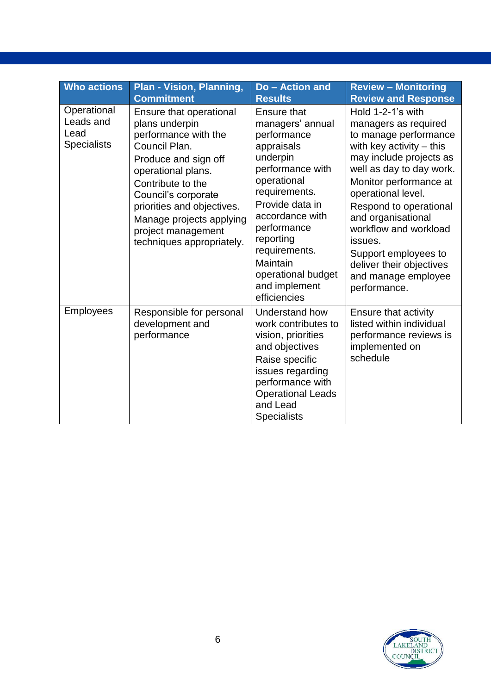| <b>Who actions</b>                                     | <b>Plan - Vision, Planning,</b><br><b>Commitment</b>                                                                                                                                                                                                                                      | <b>Do-Action and</b><br><b>Results</b>                                                                                                                                                                                                                                                    | <b>Review - Monitoring</b><br><b>Review and Response</b>                                                                                                                                                                                                                                                                                                                               |
|--------------------------------------------------------|-------------------------------------------------------------------------------------------------------------------------------------------------------------------------------------------------------------------------------------------------------------------------------------------|-------------------------------------------------------------------------------------------------------------------------------------------------------------------------------------------------------------------------------------------------------------------------------------------|----------------------------------------------------------------------------------------------------------------------------------------------------------------------------------------------------------------------------------------------------------------------------------------------------------------------------------------------------------------------------------------|
| Operational<br>Leads and<br>Lead<br><b>Specialists</b> | Ensure that operational<br>plans underpin<br>performance with the<br>Council Plan.<br>Produce and sign off<br>operational plans.<br>Contribute to the<br>Council's corporate<br>priorities and objectives.<br>Manage projects applying<br>project management<br>techniques appropriately. | <b>Ensure that</b><br>managers' annual<br>performance<br>appraisals<br>underpin<br>performance with<br>operational<br>requirements.<br>Provide data in<br>accordance with<br>performance<br>reporting<br>requirements.<br>Maintain<br>operational budget<br>and implement<br>efficiencies | Hold 1-2-1's with<br>managers as required<br>to manage performance<br>with key activity $-$ this<br>may include projects as<br>well as day to day work.<br>Monitor performance at<br>operational level.<br>Respond to operational<br>and organisational<br>workflow and workload<br>issues.<br>Support employees to<br>deliver their objectives<br>and manage employee<br>performance. |
| Employees                                              | Responsible for personal<br>development and<br>performance                                                                                                                                                                                                                                | Understand how<br>work contributes to<br>vision, priorities<br>and objectives<br>Raise specific<br>issues regarding<br>performance with<br><b>Operational Leads</b><br>and Lead<br><b>Specialists</b>                                                                                     | Ensure that activity<br>listed within individual<br>performance reviews is<br>implemented on<br>schedule                                                                                                                                                                                                                                                                               |

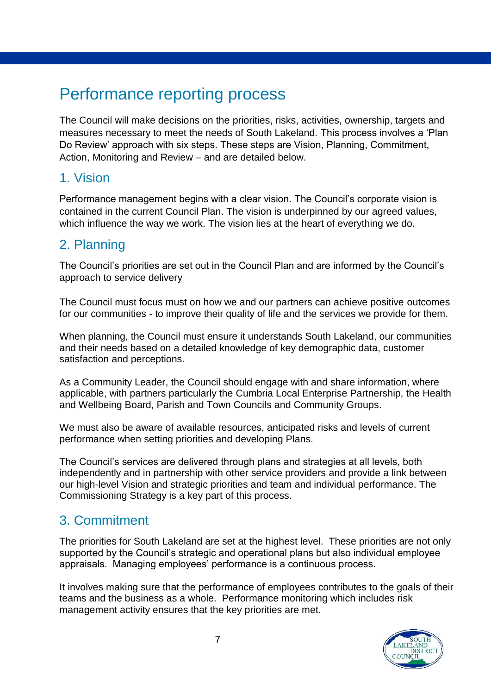# <span id="page-6-0"></span>Performance reporting process

The Council will make decisions on the priorities, risks, activities, ownership, targets and measures necessary to meet the needs of South Lakeland. This process involves a 'Plan Do Review' approach with six steps. These steps are Vision, Planning, Commitment, Action, Monitoring and Review – and are detailed below.

### 1. Vision

Performance management begins with a clear vision. The Council's corporate vision is contained in the current Council Plan. The vision is underpinned by our agreed values, which influence the way we work. The vision lies at the heart of everything we do.

## 2. Planning

The Council's priorities are set out in the Council Plan and are informed by the Council's approach to service delivery

The Council must focus must on how we and our partners can achieve positive outcomes for our communities - to improve their quality of life and the services we provide for them.

When planning, the Council must ensure it understands South Lakeland, our communities and their needs based on a detailed knowledge of key demographic data, customer satisfaction and perceptions.

As a Community Leader, the Council should engage with and share information, where applicable, with partners particularly the Cumbria Local Enterprise Partnership, the Health and Wellbeing Board, Parish and Town Councils and Community Groups.

We must also be aware of available resources, anticipated risks and levels of current performance when setting priorities and developing Plans.

The Council's services are delivered through plans and strategies at all levels, both independently and in partnership with other service providers and provide a link between our high-level Vision and strategic priorities and team and individual performance. The Commissioning Strategy is a key part of this process.

## 3. Commitment

The priorities for South Lakeland are set at the highest level. These priorities are not only supported by the Council's strategic and operational plans but also individual employee appraisals. Managing employees' performance is a continuous process.

It involves making sure that the performance of employees contributes to the goals of their teams and the business as a whole. Performance monitoring which includes risk management activity ensures that the key priorities are met.

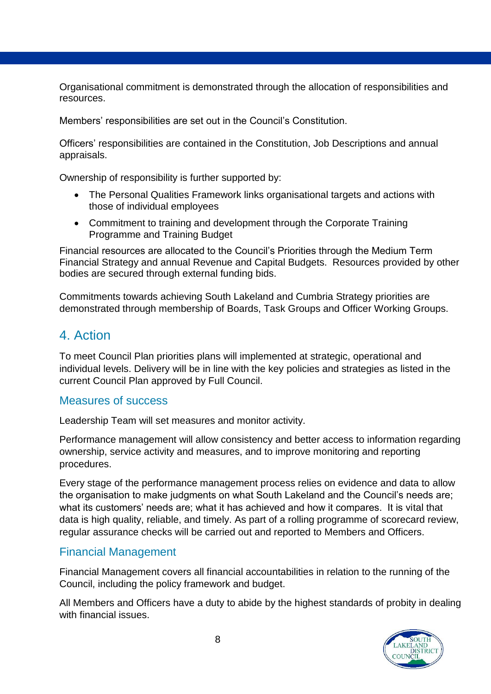Organisational commitment is demonstrated through the allocation of responsibilities and resources.

Members' responsibilities are set out in the Council's Constitution.

Officers' responsibilities are contained in the Constitution, Job Descriptions and annual appraisals.

Ownership of responsibility is further supported by:

- The Personal Qualities Framework links organisational targets and actions with those of individual employees
- Commitment to training and development through the Corporate Training Programme and Training Budget

Financial resources are allocated to the Council's Priorities through the Medium Term Financial Strategy and annual Revenue and Capital Budgets. Resources provided by other bodies are secured through external funding bids.

Commitments towards achieving South Lakeland and Cumbria Strategy priorities are demonstrated through membership of Boards, Task Groups and Officer Working Groups.

#### 4. Action

To meet Council Plan priorities plans will implemented at strategic, operational and individual levels. Delivery will be in line with the key policies and strategies as listed in the current Council Plan approved by Full Council.

#### Measures of success

Leadership Team will set measures and monitor activity.

Performance management will allow consistency and better access to information regarding ownership, service activity and measures, and to improve monitoring and reporting procedures.

Every stage of the performance management process relies on evidence and data to allow the organisation to make judgments on what South Lakeland and the Council's needs are; what its customers' needs are; what it has achieved and how it compares. It is vital that data is high quality, reliable, and timely. As part of a rolling programme of scorecard review, regular assurance checks will be carried out and reported to Members and Officers.

#### Financial Management

Financial Management covers all financial accountabilities in relation to the running of the Council, including the policy framework and budget.

All Members and Officers have a duty to abide by the highest standards of probity in dealing with financial issues.

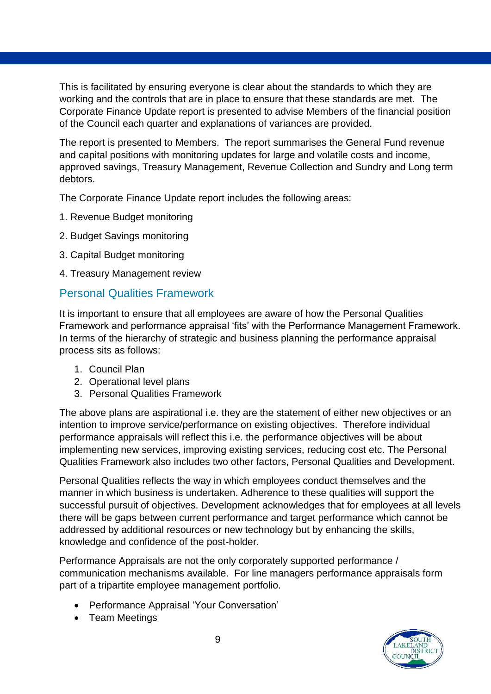This is facilitated by ensuring everyone is clear about the standards to which they are working and the controls that are in place to ensure that these standards are met. The Corporate Finance Update report is presented to advise Members of the financial position of the Council each quarter and explanations of variances are provided.

The report is presented to Members. The report summarises the General Fund revenue and capital positions with monitoring updates for large and volatile costs and income, approved savings, Treasury Management, Revenue Collection and Sundry and Long term debtors.

The Corporate Finance Update report includes the following areas:

- 1. Revenue Budget monitoring
- 2. Budget Savings monitoring
- 3. Capital Budget monitoring
- 4. Treasury Management review

#### Personal Qualities Framework

It is important to ensure that all employees are aware of how the Personal Qualities Framework and performance appraisal 'fits' with the Performance Management Framework. In terms of the hierarchy of strategic and business planning the performance appraisal process sits as follows:

- 1. Council Plan
- 2. Operational level plans
- 3. Personal Qualities Framework

The above plans are aspirational i.e. they are the statement of either new objectives or an intention to improve service/performance on existing objectives. Therefore individual performance appraisals will reflect this i.e. the performance objectives will be about implementing new services, improving existing services, reducing cost etc. The Personal Qualities Framework also includes two other factors, Personal Qualities and Development.

Personal Qualities reflects the way in which employees conduct themselves and the manner in which business is undertaken. Adherence to these qualities will support the successful pursuit of objectives. Development acknowledges that for employees at all levels there will be gaps between current performance and target performance which cannot be addressed by additional resources or new technology but by enhancing the skills, knowledge and confidence of the post-holder.

Performance Appraisals are not the only corporately supported performance / communication mechanisms available. For line managers performance appraisals form part of a tripartite employee management portfolio.

- Performance Appraisal 'Your Conversation'
- Team Meetings

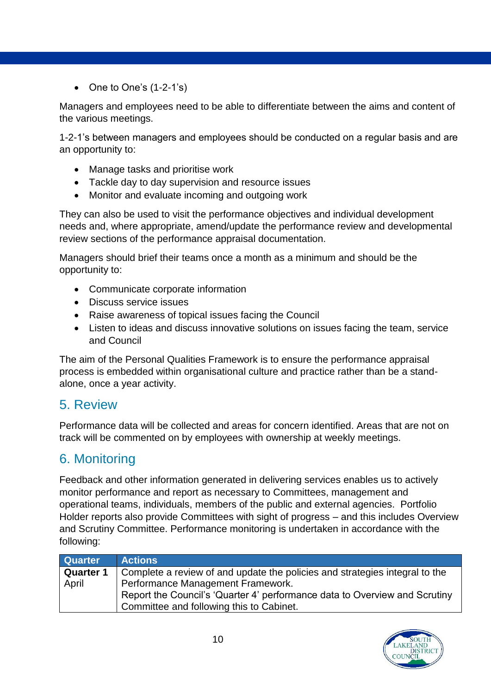$\bullet$  One to One's  $(1-2-1)\$ s

Managers and employees need to be able to differentiate between the aims and content of the various meetings.

1-2-1's between managers and employees should be conducted on a regular basis and are an opportunity to:

- Manage tasks and prioritise work
- Tackle day to day supervision and resource issues
- Monitor and evaluate incoming and outgoing work

They can also be used to visit the performance objectives and individual development needs and, where appropriate, amend/update the performance review and developmental review sections of the performance appraisal documentation.

Managers should brief their teams once a month as a minimum and should be the opportunity to:

- Communicate corporate information
- Discuss service issues
- Raise awareness of topical issues facing the Council
- Listen to ideas and discuss innovative solutions on issues facing the team, service and Council

The aim of the Personal Qualities Framework is to ensure the performance appraisal process is embedded within organisational culture and practice rather than be a standalone, once a year activity.

## 5. Review

Performance data will be collected and areas for concern identified. Areas that are not on track will be commented on by employees with ownership at weekly meetings.

## 6. Monitoring

Feedback and other information generated in delivering services enables us to actively monitor performance and report as necessary to Committees, management and operational teams, individuals, members of the public and external agencies. Portfolio Holder reports also provide Committees with sight of progress – and this includes Overview and Scrutiny Committee. Performance monitoring is undertaken in accordance with the following:

| <b>Quarter</b>   | <b>Actions</b>                                                              |
|------------------|-----------------------------------------------------------------------------|
| <b>Quarter 1</b> | Complete a review of and update the policies and strategies integral to the |
| April            | Performance Management Framework.                                           |
|                  | Report the Council's 'Quarter 4' performance data to Overview and Scrutiny  |
|                  | Committee and following this to Cabinet.                                    |

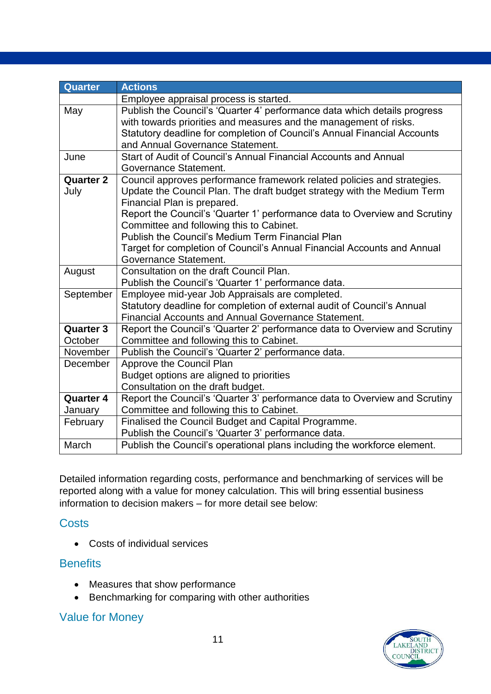| <b>Quarter</b>   | <b>Actions</b>                                                             |  |  |
|------------------|----------------------------------------------------------------------------|--|--|
|                  | Employee appraisal process is started.                                     |  |  |
| May              | Publish the Council's 'Quarter 4' performance data which details progress  |  |  |
|                  | with towards priorities and measures and the management of risks.          |  |  |
|                  | Statutory deadline for completion of Council's Annual Financial Accounts   |  |  |
|                  | and Annual Governance Statement.                                           |  |  |
| June             | Start of Audit of Council's Annual Financial Accounts and Annual           |  |  |
|                  | Governance Statement.                                                      |  |  |
| <b>Quarter 2</b> | Council approves performance framework related policies and strategies.    |  |  |
| July             | Update the Council Plan. The draft budget strategy with the Medium Term    |  |  |
|                  | Financial Plan is prepared.                                                |  |  |
|                  | Report the Council's 'Quarter 1' performance data to Overview and Scrutiny |  |  |
|                  | Committee and following this to Cabinet.                                   |  |  |
|                  | Publish the Council's Medium Term Financial Plan                           |  |  |
|                  | Target for completion of Council's Annual Financial Accounts and Annual    |  |  |
|                  | Governance Statement.                                                      |  |  |
| August           | Consultation on the draft Council Plan.                                    |  |  |
|                  | Publish the Council's 'Quarter 1' performance data.                        |  |  |
| September        | Employee mid-year Job Appraisals are completed.                            |  |  |
|                  | Statutory deadline for completion of external audit of Council's Annual    |  |  |
|                  | <b>Financial Accounts and Annual Governance Statement.</b>                 |  |  |
| <b>Quarter 3</b> | Report the Council's 'Quarter 2' performance data to Overview and Scrutiny |  |  |
| October          | Committee and following this to Cabinet.                                   |  |  |
| November         | Publish the Council's 'Quarter 2' performance data.                        |  |  |
| December         | Approve the Council Plan                                                   |  |  |
|                  | Budget options are aligned to priorities                                   |  |  |
|                  | Consultation on the draft budget.                                          |  |  |
| <b>Quarter 4</b> | Report the Council's 'Quarter 3' performance data to Overview and Scrutiny |  |  |
| January          | Committee and following this to Cabinet.                                   |  |  |
| February         | Finalised the Council Budget and Capital Programme.                        |  |  |
|                  | Publish the Council's 'Quarter 3' performance data.                        |  |  |
| March            | Publish the Council's operational plans including the workforce element.   |  |  |

Detailed information regarding costs, performance and benchmarking of services will be reported along with a value for money calculation. This will bring essential business information to decision makers – for more detail see below:

#### **Costs**

Costs of individual services

#### **Benefits**

- Measures that show performance
- Benchmarking for comparing with other authorities

#### Value for Money